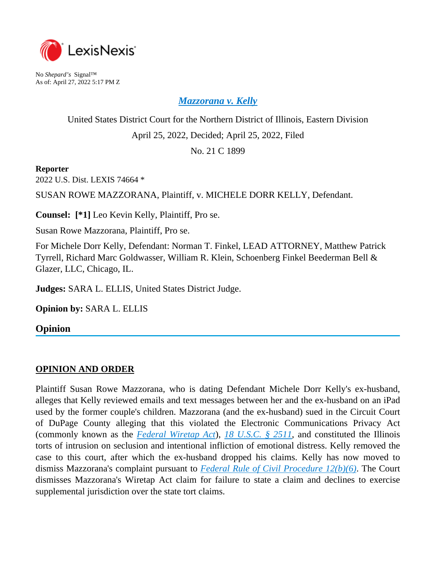

No *Shepard's* Signal™ As of: April 27, 2022 5:17 PM Z

*[Mazzorana v. Kelly](https://plus.lexis.com/api/document?collection=cases&id=urn:contentItem:659M-SRH1-JTGH-B1CW-00000-00&context=1530671)*

United States District Court for the Northern District of Illinois, Eastern Division April 25, 2022, Decided; April 25, 2022, Filed

No. 21 C 1899

#### **Reporter**

2022 U.S. Dist. LEXIS 74664 \*

SUSAN ROWE MAZZORANA, Plaintiff, v. MICHELE DORR KELLY, Defendant.

**Counsel: [\*1]** Leo Kevin Kelly, Plaintiff, Pro se.

Susan Rowe Mazzorana, Plaintiff, Pro se.

For Michele Dorr Kelly, Defendant: Norman T. Finkel, LEAD ATTORNEY, Matthew Patrick Tyrrell, Richard Marc Goldwasser, William R. Klein, Schoenberg Finkel Beederman Bell & Glazer, LLC, Chicago, IL.

**Judges:** SARA L. ELLIS, United States District Judge.

**Opinion by:** SARA L. ELLIS

## **Opinion**

## **OPINION AND ORDER**

Plaintiff Susan Rowe Mazzorana, who is dating Defendant Michele Dorr Kelly's ex-husband, alleges that Kelly reviewed emails and text messages between her and the ex-husband on an iPad used by the former couple's children. Mazzorana (and the ex-husband) sued in the Circuit Court of DuPage County alleging that this violated the Electronic Communications Privacy Act (commonly known as the *[Federal Wiretap Act](https://plus.lexis.com/api/document?collection=statutes-legislation&id=urn:contentItem:8SG9-5042-D6RV-H108-00000-00&context=1530671)*), *[18 U.S.C. § 2511](https://plus.lexis.com/api/document?collection=statutes-legislation&id=urn:contentItem:8TKW-WC52-8T6X-72S6-00000-00&context=1530671)*, and constituted the Illinois torts of intrusion on seclusion and intentional infliction of emotional distress. Kelly removed the case to this court, after which the ex-husband dropped his claims. Kelly has now moved to dismiss Mazzorana's complaint pursuant to *[Federal Rule of Civil Procedure 12\(b\)\(6\)](https://plus.lexis.com/api/document?collection=statutes-legislation&id=urn:contentItem:5GYC-1WP1-6N19-F0YW-00000-00&context=1530671)*. The Court dismisses Mazzorana's Wiretap Act claim for failure to state a claim and declines to exercise supplemental jurisdiction over the state tort claims.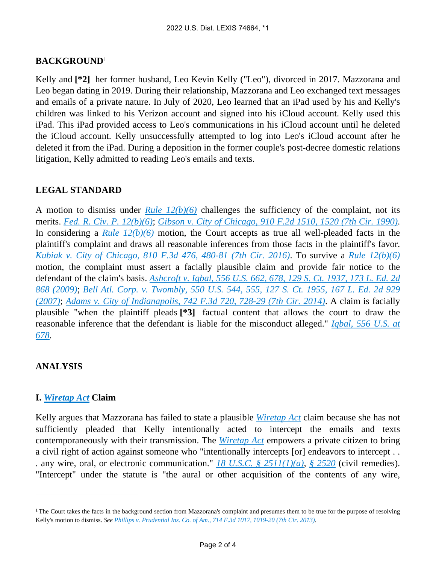### **BACKGROUND**<sup>1</sup>

Kelly and **[\*2]** her former husband, Leo Kevin Kelly ("Leo"), divorced in 2017. Mazzorana and Leo began dating in 2019. During their relationship, Mazzorana and Leo exchanged text messages and emails of a private nature. In July of 2020, Leo learned that an iPad used by his and Kelly's children was linked to his Verizon account and signed into his iCloud account. Kelly used this iPad. This iPad provided access to Leo's communications in his iCloud account until he deleted the iCloud account. Kelly unsuccessfully attempted to log into Leo's iCloud account after he deleted it from the iPad. During a deposition in the former couple's post-decree domestic relations litigation, Kelly admitted to reading Leo's emails and texts.

## **LEGAL STANDARD**

A motion to dismiss under *[Rule 12\(b\)\(6\)](https://plus.lexis.com/api/document?collection=statutes-legislation&id=urn:contentItem:5GYC-1WP1-6N19-F0YW-00000-00&context=1530671)* challenges the sufficiency of the complaint, not its merits. *[Fed. R. Civ. P. 12\(b\)\(6\)](https://plus.lexis.com/api/document?collection=statutes-legislation&id=urn:contentItem:5GYC-1WP1-6N19-F0YW-00000-00&context=1530671)*; *[Gibson v. City of Chicago, 910 F.2d 1510, 1520 \(7th Cir. 1990\)](https://plus.lexis.com/api/document?collection=cases&id=urn:contentItem:3S4X-30T0-003B-52FC-00000-00&context=1530671)*. In considering a *[Rule 12\(b\)\(6\)](https://plus.lexis.com/api/document?collection=statutes-legislation&id=urn:contentItem:5GYC-1WP1-6N19-F0YW-00000-00&context=1530671)* motion, the Court accepts as true all well-pleaded facts in the plaintiff's complaint and draws all reasonable inferences from those facts in the plaintiff's favor. *[Kubiak v. City of Chicago, 810 F.3d 476, 480-81 \(7th Cir. 2016\)](https://plus.lexis.com/api/document?collection=cases&id=urn:contentItem:5HTX-VK61-F04K-R08P-00000-00&context=1530671)*. To survive a *[Rule 12\(b\)\(6\)](https://plus.lexis.com/api/document?collection=statutes-legislation&id=urn:contentItem:5GYC-1WP1-6N19-F0YW-00000-00&context=1530671)* motion, the complaint must assert a facially plausible claim and provide fair notice to the defendant of the claim's basis. *[Ashcroft v. Iqbal, 556 U.S. 662, 678, 129 S. Ct. 1937, 173 L. Ed. 2d](https://plus.lexis.com/api/document?collection=cases&id=urn:contentItem:4W9Y-4KS0-TXFX-1325-00000-00&context=1530671)  [868 \(2009\)](https://plus.lexis.com/api/document?collection=cases&id=urn:contentItem:4W9Y-4KS0-TXFX-1325-00000-00&context=1530671)*; *[Bell Atl. Corp. v. Twombly, 550 U.S. 544, 555, 127 S. Ct. 1955, 167 L. Ed. 2d 929](https://plus.lexis.com/api/document?collection=cases&id=urn:contentItem:4NSN-8840-004C-002M-00000-00&context=1530671)  [\(2007\)](https://plus.lexis.com/api/document?collection=cases&id=urn:contentItem:4NSN-8840-004C-002M-00000-00&context=1530671)*; *[Adams v. City of Indianapolis, 742 F.3d 720, 728-29 \(7th Cir. 2014\)](https://plus.lexis.com/api/document?collection=cases&id=urn:contentItem:5BFC-BCB1-F04K-R1DK-00000-00&context=1530671)*. A claim is facially plausible "when the plaintiff pleads **[\*3]** factual content that allows the court to draw the reasonable inference that the defendant is liable for the misconduct alleged." *[Iqbal, 556 U.S. at](https://plus.lexis.com/api/document?collection=cases&id=urn:contentItem:4W9Y-4KS0-TXFX-1325-00000-00&context=1530671)  [678](https://plus.lexis.com/api/document?collection=cases&id=urn:contentItem:4W9Y-4KS0-TXFX-1325-00000-00&context=1530671)*.

#### **ANALYSIS**

#### **I.** *[Wiretap Act](https://plus.lexis.com/api/document?collection=statutes-legislation&id=urn:contentItem:8SG9-5042-D6RV-H108-00000-00&context=1530671)* **Claim**

Kelly argues that Mazzorana has failed to state a plausible *[Wiretap Act](https://plus.lexis.com/api/document?collection=statutes-legislation&id=urn:contentItem:8SG9-5042-D6RV-H108-00000-00&context=1530671)* claim because she has not sufficiently pleaded that Kelly intentionally acted to intercept the emails and texts contemporaneously with their transmission. The *[Wiretap Act](https://plus.lexis.com/api/document?collection=statutes-legislation&id=urn:contentItem:8SG9-5042-D6RV-H108-00000-00&context=1530671)* empowers a private citizen to bring a civil right of action against someone who "intentionally intercepts [or] endeavors to intercept . . . any wire, oral, or electronic communication." *[18 U.S.C. § 2511\(1\)\(a\)](https://plus.lexis.com/api/document?collection=statutes-legislation&id=urn:contentItem:8TKW-WC52-8T6X-72S6-00000-00&context=1530671)*, *[§ 2520](https://plus.lexis.com/api/document?collection=statutes-legislation&id=urn:contentItem:8TKW-WV92-8T6X-736C-00000-00&context=1530671)* (civil remedies). "Intercept" under the statute is "the aural or other acquisition of the contents of any wire,

<sup>&</sup>lt;sup>1</sup>The Court takes the facts in the background section from Mazzorana's complaint and presumes them to be true for the purpose of resolving Kelly's motion to dismiss. *See [Phillips v. Prudential Ins. Co. of Am., 714 F.3d 1017, 1019-20 \(7th Cir. 2013\)](https://plus.lexis.com/api/document?collection=cases&id=urn:contentItem:58BX-5W11-F04K-R03H-00000-00&context=1530671)*.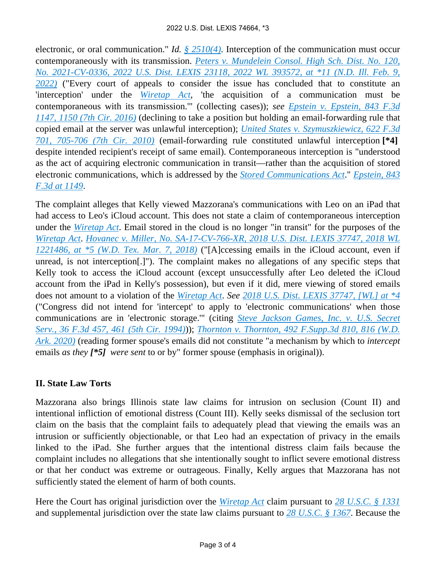electronic, or oral communication." *Id. [§ 2510\(4\)](https://plus.lexis.com/api/document?collection=statutes-legislation&id=urn:contentItem:8SG9-5042-D6RV-H108-00000-00&context=1530671)*. Interception of the communication must occur contemporaneously with its transmission. *[Peters v. Mundelein Consol. High Sch. Dist. No. 120,](https://plus.lexis.com/api/document?collection=cases&id=urn:contentItem:64RM-YT01-FBN1-22PT-00000-00&context=1530671)  [No. 2021-CV-0336, 2022 U.S. Dist. LEXIS 23118, 2022 WL 393572, at \\*11 \(N.D. Ill. Feb. 9,](https://plus.lexis.com/api/document?collection=cases&id=urn:contentItem:64RM-YT01-FBN1-22PT-00000-00&context=1530671)  [2022\)](https://plus.lexis.com/api/document?collection=cases&id=urn:contentItem:64RM-YT01-FBN1-22PT-00000-00&context=1530671)* ("Every court of appeals to consider the issue has concluded that to constitute an 'interception' under the *[Wiretap Act](https://plus.lexis.com/api/document?collection=statutes-legislation&id=urn:contentItem:8SG9-5042-D6RV-H108-00000-00&context=1530671)*, 'the acquisition of a communication must be contemporaneous with its transmission.'" (collecting cases)); *see [Epstein v. Epstein, 843 F.3d](https://plus.lexis.com/api/document?collection=cases&id=urn:contentItem:5MD1-8C71-F04K-R05D-00000-00&context=1530671)  [1147, 1150 \(7th Cir. 2016\)](https://plus.lexis.com/api/document?collection=cases&id=urn:contentItem:5MD1-8C71-F04K-R05D-00000-00&context=1530671)* (declining to take a position but holding an email-forwarding rule that copied email at the server was unlawful interception); *[United States v. Szymuszkiewicz, 622 F.3d](https://plus.lexis.com/api/document?collection=cases&id=urn:contentItem:5102-PM01-F04K-R009-00000-00&context=1530671)  [701, 705-706 \(7th Cir. 2010\)](https://plus.lexis.com/api/document?collection=cases&id=urn:contentItem:5102-PM01-F04K-R009-00000-00&context=1530671)* (email-forwarding rule constituted unlawful interception **[\*4]**  despite intended recipient's receipt of same email). Contemporaneous interception is "understood as the act of acquiring electronic communication in transit—rather than the acquisition of stored electronic communications, which is addressed by the *[Stored Communications Act](https://plus.lexis.com/api/document?collection=statutes-legislation&id=urn:contentItem:8TKW-WBP2-D6RV-H4N5-00000-00&context=1530671)*." *[Epstein, 843](https://plus.lexis.com/api/document?collection=cases&id=urn:contentItem:5MD1-8C71-F04K-R05D-00000-00&context=1530671)  [F.3d at 1149](https://plus.lexis.com/api/document?collection=cases&id=urn:contentItem:5MD1-8C71-F04K-R05D-00000-00&context=1530671)*.

The complaint alleges that Kelly viewed Mazzorana's communications with Leo on an iPad that had access to Leo's iCloud account. This does not state a claim of contemporaneous interception under the *[Wiretap Act](https://plus.lexis.com/api/document?collection=statutes-legislation&id=urn:contentItem:8SG9-5042-D6RV-H108-00000-00&context=1530671)*. Email stored in the cloud is no longer "in transit" for the purposes of the *[Wiretap Act](https://plus.lexis.com/api/document?collection=statutes-legislation&id=urn:contentItem:8SG9-5042-D6RV-H108-00000-00&context=1530671)*. *[Hovanec v. Miller, No. SA-17-CV-766-XR, 2018 U.S. Dist. LEXIS 37747, 2018 WL](https://plus.lexis.com/api/document?collection=cases&id=urn:contentItem:5RTR-9SD1-JKB3-X123-00000-00&context=1530671)  [1221486, at \\*5 \(W.D. Tex. Mar. 7, 2018\)](https://plus.lexis.com/api/document?collection=cases&id=urn:contentItem:5RTR-9SD1-JKB3-X123-00000-00&context=1530671)* ("[A]ccessing emails in the iCloud account, even if unread, is not interception[.]"). The complaint makes no allegations of any specific steps that Kelly took to access the iCloud account (except unsuccessfully after Leo deleted the iCloud account from the iPad in Kelly's possession), but even if it did, mere viewing of stored emails does not amount to a violation of the *[Wiretap Act](https://plus.lexis.com/api/document?collection=statutes-legislation&id=urn:contentItem:8SG9-5042-D6RV-H108-00000-00&context=1530671)*. *See [2018 U.S. Dist. LEXIS 37747, \[WL\] at \\*4](https://plus.lexis.com/api/document?collection=cases&id=urn:contentItem:5RTR-9SD1-JKB3-X123-00000-00&context=1530671)* ("Congress did not intend for 'intercept' to apply to 'electronic communications' when those communications are in 'electronic storage.'" (citing *[Steve Jackson Games, Inc. v. U.S. Secret](https://plus.lexis.com/api/document?collection=cases&id=urn:contentItem:3RTX-FF50-003B-P030-00000-00&context=1530671)  [Serv., 36 F.3d 457, 461 \(5th Cir. 1994\)](https://plus.lexis.com/api/document?collection=cases&id=urn:contentItem:3RTX-FF50-003B-P030-00000-00&context=1530671)*)); *[Thornton v. Thornton, 492 F.Supp.3d 810, 816 \(W.D.](https://plus.lexis.com/api/document?collection=cases&id=urn:contentItem:60YS-RH61-JG59-23G3-00000-00&context=1530671)  [Ark. 2020\)](https://plus.lexis.com/api/document?collection=cases&id=urn:contentItem:60YS-RH61-JG59-23G3-00000-00&context=1530671)* (reading former spouse's emails did not constitute "a mechanism by which to *intercept* emails *as they [\*5] were sent* to or by" former spouse (emphasis in original)).

# **II. State Law Torts**

Mazzorana also brings Illinois state law claims for intrusion on seclusion (Count II) and intentional infliction of emotional distress (Count III). Kelly seeks dismissal of the seclusion tort claim on the basis that the complaint fails to adequately plead that viewing the emails was an intrusion or sufficiently objectionable, or that Leo had an expectation of privacy in the emails linked to the iPad. She further argues that the intentional distress claim fails because the complaint includes no allegations that she intentionally sought to inflict severe emotional distress or that her conduct was extreme or outrageous. Finally, Kelly argues that Mazzorana has not sufficiently stated the element of harm of both counts.

Here the Court has original jurisdiction over the *[Wiretap Act](https://plus.lexis.com/api/document?collection=statutes-legislation&id=urn:contentItem:8SG9-5042-D6RV-H108-00000-00&context=1530671)* claim pursuant to *[28 U.S.C. § 1331](https://plus.lexis.com/api/document?collection=statutes-legislation&id=urn:contentItem:8SG9-5HW2-D6RV-H0G3-00000-00&context=1530671)* and supplemental jurisdiction over the state law claims pursuant to *[28 U.S.C. § 1367](https://plus.lexis.com/api/document?collection=statutes-legislation&id=urn:contentItem:8SG9-5HW2-D6RV-H0HC-00000-00&context=1530671)*. Because the